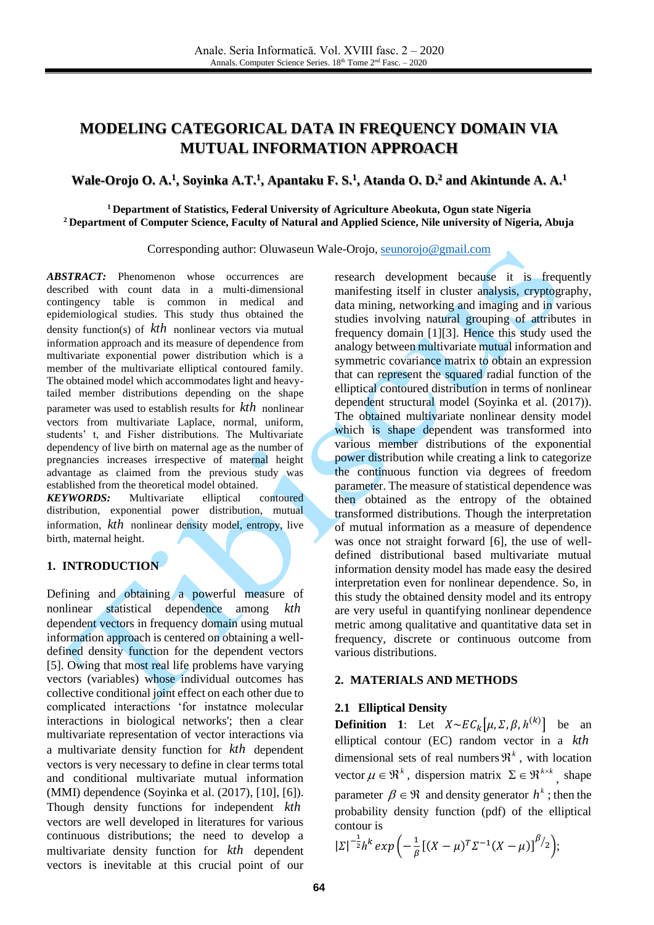# **MODELING CATEGORICAL DATA IN FREQUENCY DOMAIN VIA MUTUAL INFORMATION APPROACH**

# **Wale-Orojo O. A.<sup>1</sup> , Soyinka A.T.<sup>1</sup> , Apantaku F. S.<sup>1</sup> , Atanda O. D.<sup>2</sup> and Akintunde A. A.<sup>1</sup>**

#### **<sup>1</sup>Department of Statistics, Federal University of Agriculture Abeokuta, Ogun state Nigeria <sup>2</sup>Department of Computer Science, Faculty of Natural and Applied Science, Nile university of Nigeria, Abuja**

#### Corresponding author: Oluwaseun Wale-Orojo[, seunorojo@gmail.com](mailto:seunorojo@gmail.com)

*ABSTRACT:* Phenomenon whose occurrences are described with count data in a multi-dimensional contingency table is common in medical and epidemiological studies. This study thus obtained the density function(s) of *kth* nonlinear vectors via mutual information approach and its measure of dependence from multivariate exponential power distribution which is a member of the multivariate elliptical contoured family. The obtained model which accommodates light and heavytailed member distributions depending on the shape parameter was used to establish results for *kth* nonlinear vectors from multivariate Laplace, normal, uniform, students' t, and Fisher distributions. The Multivariate dependency of live birth on maternal age as the number of pregnancies increases irrespective of maternal height advantage as claimed from the previous study was established from the theoretical model obtained.<br> **KEYWORDS:** Multivariate elliptical

*KEYWORDS:* Multivariate elliptical contoured distribution, exponential power distribution, mutual information, *kth* nonlinear density model, entropy, live birth, maternal height.

# **1. INTRODUCTION**

Defining and obtaining a powerful measure of nonlinear statistical dependence among *kth* dependent vectors in frequency domain using mutual information approach is centered on obtaining a welldefined density function for the dependent vectors [\[5\].](#page-3-0) Owing that most real life problems have varying vectors (variables) whose individual outcomes has collective conditional joint effect on each other due to complicated interactions 'for instatnce molecular interactions in biological networks'; then a clear multivariate representation of vector interactions via a multivariate density function for *kth* dependent vectors is very necessary to define in clear terms total and conditional multivariate mutual information (MMI) dependence (Soyinka et al. (2017), [\[10\],](#page-4-0) [\[6\]\)](#page-3-1). Though density functions for independent *kth* vectors are well developed in literatures for various continuous distributions; the need to develop a multivariate density function for *kth* dependent vectors is inevitable at this crucial point of our

research development because it is frequently manifesting itself in cluster analysis, cryptography, data mining, networking and imaging and in various studies involving natural grouping of attributes in frequency domain [\[1\]](#page-3-2)[\[3\].](#page-3-3) Hence this study used the analogy between multivariate mutual information and symmetric covariance matrix to obtain an expression that can represent the squared radial function of the elliptical contoured distribution in terms of nonlinear dependent structural model (Soyinka et al. (2017)). The obtained multivariate nonlinear density model which is shape dependent was transformed into various member distributions of the exponential power distribution while creating a link to categorize the continuous function via degrees of freedom parameter. The measure of statistical dependence was then obtained as the entropy of the obtained transformed distributions. Though the interpretation of mutual information as a measure of dependence was once not straight forward [\[6\],](#page-3-1) the use of welldefined distributional based multivariate mutual information density model has made easy the desired interpretation even for nonlinear dependence. So, in this study the obtained density model and its entropy are very useful in quantifying nonlinear dependence metric among qualitative and quantitative data set in frequency, discrete or continuous outcome from various distributions.

### **2. MATERIALS AND METHODS**

#### **2.1 Elliptical Density**

**Definition** 1: Let  $X \sim EC_k[\mu, \Sigma, \beta, h^{(k)}]$  be an elliptical contour (EC) random vector in a *kth* dimensional sets of real numbers  $\mathfrak{R}^k$ , with location vector  $\mu \in \mathbb{R}^k$ , dispersion matrix  $\Sigma \in \mathbb{R}^{k \times k}$ , shape parameter  $\beta \in \mathfrak{R}$  and density generator  $h^k$ ; then the probability density function (pdf) of the elliptical contour is

$$
|\Sigma|^{-\frac{1}{2}} h^k exp\left(-\frac{1}{\beta} [(X-\mu)^T \Sigma^{-1} (X-\mu)]^{\beta/2}\right);
$$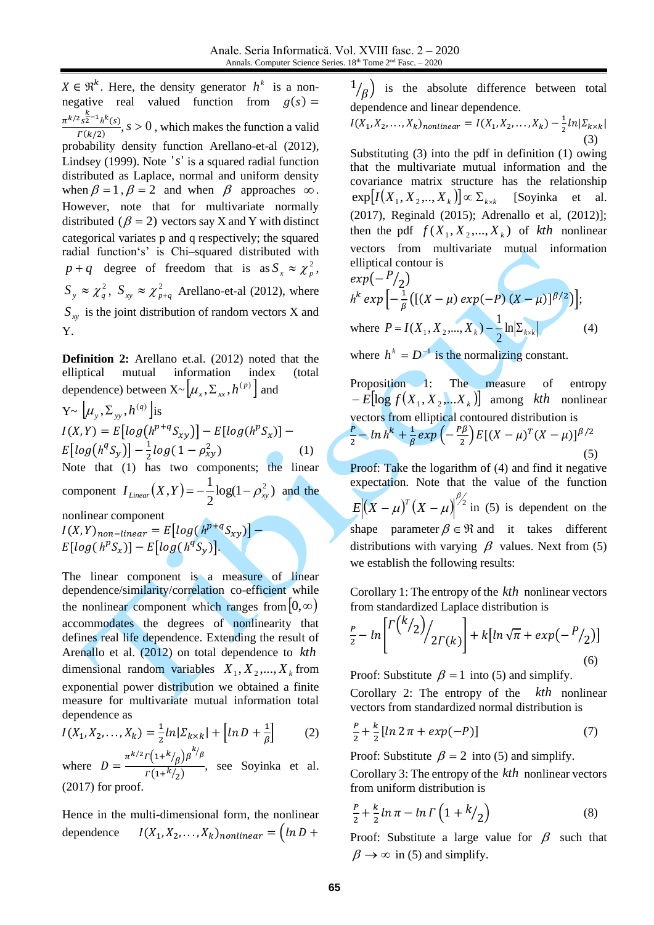$X \in \mathbb{R}^k$ . Here, the density generator  $h^k$  is a nonnegative real valued function from  $g(s)$  =  $\pi^{k/2} s^{\frac{k}{2}-1} h^k(s)$  $\frac{s^{2}}{F(k/2)}$ ,  $s > 0$ , which makes the function a valid probability density function Arellano-et-al (2012), Lindsey (1999). Note '*s*' is a squared radial function distributed as Laplace, normal and uniform density when  $\beta = 1$ ,  $\beta = 2$  and when  $\beta$  approaches  $\infty$ . However, note that for multivariate normally distributed ( $\beta = 2$ ) vectors say X and Y with distinct categorical variates p and q respectively; the squared radial function's' is Chi–squared distributed with  $p + q$  degree of freedom that is as  $S_x \approx \chi_p^2$ ,  $S_y \approx \chi_q^2$ ,  $S_{xy} \approx \chi_p^2$  $S_{xy} \approx \chi^2_{p+q}$  Arellano-et-al (2012), where *xy <sup>S</sup>* is the joint distribution of random vectors X and Y.

**Definition 2:** Arellano et.al. (2012) noted that the elliptical mutual information index (total dependence) between  $X \sim [\mu_x, \Sigma_{xx}, h^{(p)}]$  and  $Y \sim [\mu_{y}, \Sigma_{yy}, h^{(q)}]$ is  $I(X,Y) = E[log(h^{p+q}S_{xy})] - E[log(h^{p}S_{x})] E[log(h^qS_y)] - \frac{1}{2}$  $\frac{1}{2}$ log(1 –  $\rho_{xy}^2$ ) (1) Note that (1) has two components; the linear component  $I_{Linear}(X, Y) = -\frac{1}{2} \log(1 - \rho_{xy}^2)$ 2  $I_{Linear}(X, Y) = -\frac{1}{2} \log(1 - \rho_{xy}^2)$  and the nonlinear component  $I(X, Y)_{non-linear} = E[log(h^{p+q}S_{xy})] E[log(h^{p}S_{x})] - E[log(h^{q}S_{y})].$ 

The linear component is a measure of linear dependence/similarity/correlation co-efficient while the nonlinear component which ranges from  $[0,\infty)$ accommodates the degrees of nonlinearity that defines real life dependence. Extending the result of Arenallo et al. (2012) on total dependence to *kth* dimensional random variables  $X_1, X_2, ..., X_k$  from exponential power distribution we obtained a finite measure for multivariate mutual information total dependence as

$$
I(X_1, X_2, \dots, X_k) = \frac{1}{2} \ln |\Sigma_{k \times k}| + \left[ \ln D + \frac{1}{\beta} \right] \tag{2}
$$

where  $D = \frac{\pi^{k/2} \Gamma(1+k/\beta) \beta^{k/\beta}}{\Gamma(1+k/\beta)}$  $\frac{(p)}{(\Gamma(1+k)_{2})}$ , see Soyinka et al. (2017) for proof.

Hence in the multi-dimensional form, the nonlinear dependence  $I(X_1, X_2, ..., X_k)_{nonlinear} = (ln D +$ 

1  $\ell(\beta)$  is the absolute difference between total dependence and linear dependence.

$$
I(X_1, X_2, \dots, X_k)_{nonlinear} = I(X_1, X_2, \dots, X_k) - \frac{1}{2} ln | \Sigma_{k \times k} |
$$
\n(3)

Substituting (3) into the pdf in definition (1) owing that the multivariate mutual information and the covariance matrix structure has the relationship  $\exp[I(X_1, X_2, \ldots, X_k)] \propto \Sigma_{k \times k}$  [Soyinka et al. (2017), Reginald (2015); Adrenallo et al, (2012)]; then the pdf  $f(X_1, X_2, ..., X_k)$  of kth nonlinear vectors from multivariate mutual information elliptical contour is

$$
exp(-\frac{P}{2})
$$
  
\n $h^k exp\left[-\frac{1}{\beta}([(X-\mu)exp(-P)(X-\mu)]^{\beta/2})\right];$   
\nwhere  $P = I(X_1, X_2,...,X_k) - \frac{1}{2}ln|\Sigma_{kx}|$  (4)  
\nwhere  $h^k = D^{-1}$  is the normalizing constant.

Proposition 1: The measure of entropy  $E[\log f(X_1, X_2,...X_k)]$  among *kth* nonlinear vectors from elliptical contoured distribution is  $\overline{P}$  $\frac{p}{2}$  –  $\ln h^k$  +  $\frac{1}{\beta}$  $\frac{1}{\beta}$ exp $\left(-\frac{P\beta}{2}\right)$  $\frac{\gamma \beta}{2} E[(X-\mu)^T(X-\mu)]^{\beta/2}$ (5)

Proof: Take the logarithm of (4) and find it negative expectation. Note that the value of the function  $E[(X - \mu)^T (X - \mu)]^{\beta_2}$  in (5) is dependent on the shape parameter  $\beta \in \mathfrak{R}$  and it takes different distributions with varying  $\beta$  values. Next from (5) we establish the following results:

Corollary 1: The entropy of the *kth* nonlinear vectors from standardized Laplace distribution is

$$
\frac{P}{2} - \ln \left[ \frac{\Gamma(k/2)}{2\Gamma(k)} \right] + k[\ln \sqrt{\pi} + \exp(-\frac{P}{2})] \tag{6}
$$

Proof: Substitute  $\beta = 1$  into (5) and simplify.

Corollary 2: The entropy of the *kth* nonlinear vectors from standardized normal distribution is

$$
\frac{P}{2} + \frac{k}{2} [ln 2 \pi + exp(-P)] \tag{7}
$$

Proof: Substitute  $\beta = 2$  into (5) and simplify.

Corollary 3: The entropy of the *kth* nonlinear vectors from uniform distribution is

$$
\frac{P}{2} + \frac{k}{2} \ln \pi - \ln \Gamma \left( 1 + \frac{k}{2} \right) \tag{8}
$$

Proof: Substitute a large value for  $\beta$  such that  $\beta \rightarrow \infty$  in (5) and simplify.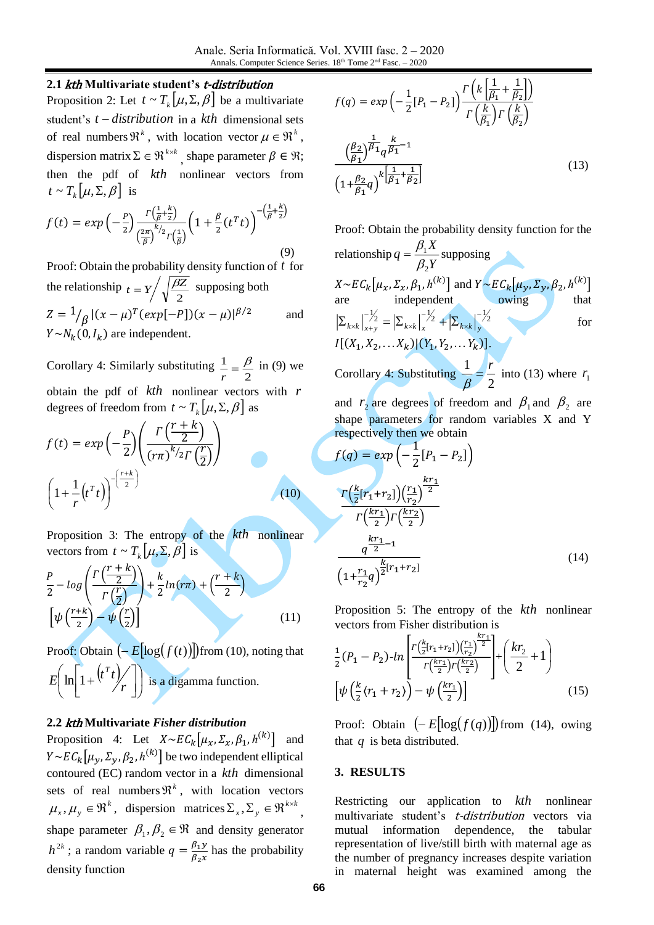# **2.1** kth **Multivariate student's** t-distribution

Proposition 2: Let  $t \sim T_k[\mu, \Sigma, \beta]$  be a multivariate student's *t* <sup>−</sup> *distribution* in a *kth* dimensional sets of real numbers  $\mathfrak{R}^k$ , with location vector  $\mu \in \mathfrak{R}^k$ , dispersion matrix  $\Sigma \in \mathfrak{R}^{k \times k}$ , shape parameter  $\beta \in \mathfrak{R}$ ; then the pdf of *kth* nonlinear vectors from  $t \sim T_k[\mu, \Sigma, \beta]$  is

$$
f(t) = exp\left(-\frac{P}{2}\right) \frac{\Gamma\left(\frac{1}{\beta} + \frac{k}{2}\right)}{\left(\frac{2\pi}{\beta}\right)^{k/2} \Gamma\left(\frac{1}{\beta}\right)} \left(1 + \frac{\beta}{2} \left(t^T t\right)\right)^{-\left(\frac{1}{\beta} + \frac{k}{2}\right)}\tag{9}
$$

Proof: Obtain the probability density function of *t* for the relationship  $t = Y / \sqrt{\frac{\beta Z}{2}}$  $t = Y / \sqrt{\frac{\beta Z}{T}}$  supposing both  $Z = \frac{1}{\beta} |(x - \mu)^T (exp[-P])(x - \mu)|^{\beta/2}$ and  $Y \sim N_k(0, I_k)$  are independent.

Corollary 4: Similarly substituting  $\frac{1}{r} = \frac{B}{2}$  $\frac{1}{r} = \frac{\beta}{2}$  in (9) we obtain the pdf of *kth* nonlinear vectors with *r* degrees of freedom from  $t \sim T_k[\mu, \Sigma, \beta]$  as

$$
f(t) = exp\left(-\frac{P}{2}\right) \left(\frac{\Gamma\left(\frac{r+k}{2}\right)}{\left(r\pi\right)^{k}/2\Gamma\left(\frac{r}{2}\right)}\right)
$$

$$
\left(1 + \frac{1}{r}\left(t^{T}t\right)\right)^{-\left(\frac{r+k}{2}\right)}\right)
$$
(10)

Proposition 3: The entropy of the *kth* nonlinear vectors from  $t \sim T_k[\mu, \Sigma, \beta]$  is

$$
\frac{P}{2} - \log\left(\frac{\Gamma\left(\frac{r+k}{2}\right)}{\Gamma\left(\frac{r}{2}\right)}\right) + \frac{k}{2}\ln(r\pi) + \left(\frac{r+k}{2}\right)
$$
\n
$$
\left[\psi\left(\frac{r+k}{2}\right) - \psi\left(\frac{r}{2}\right)\right]
$$
\n(11)

Proof: Obtain  $\left(-E[\log(f(t))] \right)$  from (10), noting that  $\left(t^T t\right)_{\!\!\ell}$ I J  $\left(\ln\left[1+\left(t^{T}t\right)/\right]\right)$ L ſ I  $\rfloor$ 1 L  $\left[1+\frac{(t^Tt)}{r}\right]$  $E\left[\ln\left(1+\frac{(t^T t)}{r}\right)\right]$  is a digamma function.

# **2.2** kth **Multivariate** *Fisher distribution*

Proposition 4: Let  $X \sim E C_k [\mu_x, \Sigma_x, \beta_1, h^{(k)}]$  and  $Y \sim E C_k\left[\mu_y, \Sigma_y, \beta_2, h^{(k)}\right]$  be two independent elliptical contoured (EC) random vector in a *kth* dimensional sets of real numbers  $\mathfrak{R}^k$ , with location vectors  $\mu_x, \mu_y \in \mathfrak{R}^k$ , dispersion matrices  $\Sigma_x, \Sigma_y \in \mathfrak{R}^{k \times k}$ *<sup>x</sup> y*  $\Sigma_{x}, \Sigma_{y} \in \Re^{k \times k},$ shape parameter  $\beta_1, \beta_2 \in \Re$  and density generator  $h^{2k}$ ; a random variable  $q = \frac{\beta_1 y}{\beta_2}$  $\frac{\rho_{1} y}{\rho_{2} x}$  has the probability density function

$$
f(q) = exp\left(-\frac{1}{2}\left[P_1 - P_2\right]\right) \frac{\Gamma\left(k\left[\frac{1}{\beta_1} + \frac{1}{\beta_2}\right]\right)}{\Gamma\left(\frac{k}{\beta_1}\right)\Gamma\left(\frac{k}{\beta_2}\right)}
$$

$$
\frac{\left(\frac{\beta_2}{\beta_1}\right)^{\frac{1}{\beta_1}} q^{\frac{k}{\beta_1} - 1}}{\left(1 + \frac{\beta_2}{\beta_1} q\right)^{k\left[\frac{1}{\beta_1} + \frac{1}{\beta_2}\right]}}
$$
(13)

Proof: Obtain the probability density function for the *X*  $q = \frac{P_1}{Q_1}$  $=\frac{\beta_1 X}{2 N}$  supposing

relationship  $q = \frac{P_1}{\beta_2 Y}$ 2  $\beta$  $X \sim E C_k\left[\mu_x, \Sigma_x, \beta_1, h^{(k)}\right]$  and  $Y \sim E C_k\left[\mu_y, \Sigma_y, \beta_2, h^{(k)}\right]$ are independent owing that  $\frac{1}{2}$  =  $\sum_{k \times k} \left| \frac{-1}{x} \right| \times 1 + \left| \sum_{k \times k} \right| \frac{-1}{x}$  $\mathsf{x}_{k}\big|_{x}^{-}$  $\sum_{k \times k} \left| \frac{1}{x+y} \right| = \left| \sum_{k \times k} \right| \left| \frac{1}{x} \right|^2 + \left| \sum_{k \times k} \right| \left| \frac{1}{x+y} \right|^2$ for  $I[(X_1, X_2, \ldots, X_k)| (Y_1, Y_2, \ldots, Y_k)].$ 

Corollary 4: Substituting  $\frac{\pi}{\beta} = \frac{1}{2}$  $\frac{1}{\beta} = \frac{r}{2}$ into (13) where  $r_1$ 

and  $r_2$  are degrees of freedom and  $\beta_1$  and  $\beta_2$  are shape parameters for random variables X and Y respectively then we obtain

$$
f(q) = exp\left(-\frac{1}{2}\left[P_1 - P_2\right]\right)
$$

$$
\frac{\Gamma\left(\frac{k}{2}\left[r_1 + r_2\right]\right)\left(\frac{r_1}{r_2}\right)^{\frac{kr_1}{2}}}{\Gamma\left(\frac{kr_1}{2}\right)\Gamma\left(\frac{kr_2}{2}\right)}
$$

$$
\frac{\frac{kr_1}{q^{-2}}}{\left(1 + \frac{r_1}{r_2}q\right)^{\frac{k}{2}\left[r_1 + r_2\right]}}\tag{14}
$$

 Proposition 5: The entropy of the *kth* nonlinear vectors from Fisher distribution is

$$
\frac{1}{2}(P_1 - P_2) - ln\left[\frac{\Gamma(\frac{k}{2}[r_1 + r_2]) (\frac{r_1}{r_2})^{\frac{kr_1}{2}}}{\Gamma(\frac{kr_1}{2})\Gamma(\frac{kr_2}{2})}\right] + \left(\frac{kr_2}{2} + 1\right)
$$
\n
$$
\left[\psi\left(\frac{k}{2}\langle r_1 + r_2\rangle\right) - \psi\left(\frac{kr_1}{2}\right)\right] \tag{15}
$$

Proof: Obtain  $\left(-E[\log(f(q))] \right)$  from (14), owing that *q* is beta distributed.

### **3. RESULTS**

Restricting our application to *kth* nonlinear multivariate student's *t-distribution* vectors via mutual information dependence, the tabular representation of live/still birth with maternal age as the number of pregnancy increases despite variation in maternal height was examined among the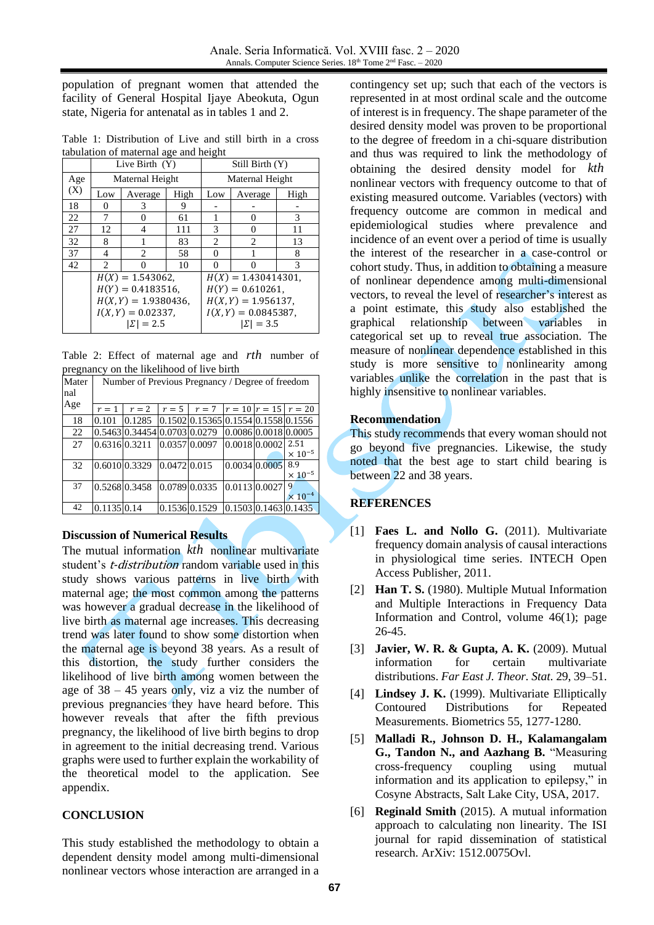population of pregnant women that attended the facility of General Hospital Ijaye Abeokuta, Ogun state, Nigeria for antenatal as in tables 1 and 2.

Table 1: Distribution of Live and still birth in a cross tabulation of maternal age and height

|     | Live Birth $(Y)$  |                        |      | Still Birth (Y)        |         |      |  |
|-----|-------------------|------------------------|------|------------------------|---------|------|--|
| Age | Maternal Height   |                        |      | Maternal Height        |         |      |  |
| (X) | Low               | Average                | High | Low                    | Average | High |  |
| 18  | $\mathbf{\Omega}$ | 3                      | 9    |                        |         |      |  |
| 22  |                   | 0                      | 61   |                        | 0       | 3    |  |
| 27  | 12                | 4                      | 111  | 3                      | 0       | 11   |  |
| 32  | 8                 | 1                      | 83   | 2                      | 2       | 13   |  |
| 37  | 4                 | 2                      | 58   | 0                      |         | 8    |  |
| 42  | $\mathfrak{D}$    | 0                      | 10   | 0                      | 0       | 3    |  |
|     |                   | $H(X) = 1.543062$ ,    |      | $H(X) = 1.430414301$ , |         |      |  |
|     |                   | $H(Y) = 0.4183516$ ,   |      | $H(Y) = 0.610261$ ,    |         |      |  |
|     |                   | $H(X, Y) = 1.9380436,$ |      | $H(X, Y) = 1.956137,$  |         |      |  |
|     |                   | $I(X, Y) = 0.02337,$   |      | $I(X, Y) = 0.0845387,$ |         |      |  |
|     |                   | $ \Sigma  = 2.5$       |      | $ \Sigma  = 3.5$       |         |      |  |

Table 2: Effect of maternal age and *rth* number of pregnancy on the likelihood of live birth

| Mater | Number of Previous Pregnancy / Degree of freedom |                              |               |                                            |                      |  |                                  |  |  |
|-------|--------------------------------------------------|------------------------------|---------------|--------------------------------------------|----------------------|--|----------------------------------|--|--|
| nal   |                                                  |                              |               |                                            |                      |  |                                  |  |  |
| Age   | $r=1$                                            | $r=2$                        | $r=5$         | $r = 7$ $ r = 10 r = 15$ $r = 20$          |                      |  |                                  |  |  |
| 18    | 0.101                                            | 0.1285                       |               | $[0.1502] 0.15365] 0.1554] 0.1558] 0.1556$ |                      |  |                                  |  |  |
| 22    |                                                  | 0.5463 0.34454 0.0703 0.0279 |               |                                            | 0.0086 0.0018 0.0005 |  |                                  |  |  |
| 27    | 0.6316 0.3211                                    |                              | 0.0357 0.0097 |                                            | $0.0018$ 0.0002      |  | 2.51                             |  |  |
|       |                                                  |                              |               |                                            |                      |  | $\times$ 10 <sup>-5</sup>        |  |  |
| 32    | 0.6010 0.3329                                    |                              | 0.0472 0.015  |                                            | 0.0034 0.0005        |  | 8.9                              |  |  |
|       |                                                  |                              |               |                                            |                      |  | $\times$ 10 <sup>-5</sup>        |  |  |
| 37    | 0.5268 0.3458                                    |                              | 0.0789 0.0335 |                                            | $0.0113$ 0.0027      |  | 9                                |  |  |
|       |                                                  |                              |               |                                            |                      |  | $\times$ 10 <sup>-4</sup>        |  |  |
| 42    | 0.1135 0.14                                      |                              |               | 0.1536 0.1529                              |                      |  | $0.1503 \mid 0.1463 \mid 0.1435$ |  |  |

### **Discussion of Numerical Results**

The mutual information *kth* nonlinear multivariate student's *t-distribution* random variable used in this study shows various patterns in live birth with maternal age; the most common among the patterns was however a gradual decrease in the likelihood of live birth as maternal age increases. This decreasing trend was later found to show some distortion when the maternal age is beyond 38 years. As a result of this distortion, the study further considers the likelihood of live birth among women between the age of  $38 - 45$  years only, viz a viz the number of previous pregnancies they have heard before. This however reveals that after the fifth previous pregnancy, the likelihood of live birth begins to drop in agreement to the initial decreasing trend. Various graphs were used to further explain the workability of the theoretical model to the application. See appendix.

### **CONCLUSION**

This study established the methodology to obtain a dependent density model among multi-dimensional nonlinear vectors whose interaction are arranged in a

contingency set up; such that each of the vectors is represented in at most ordinal scale and the outcome of interest is in frequency. The shape parameter of the desired density model was proven to be proportional to the degree of freedom in a chi-square distribution and thus was required to link the methodology of obtaining the desired density model for *kth* nonlinear vectors with frequency outcome to that of existing measured outcome. Variables (vectors) with frequency outcome are common in medical and epidemiological studies where prevalence and incidence of an event over a period of time is usually the interest of the researcher in a case-control or cohort study. Thus, in addition to obtaining a measure of nonlinear dependence among multi-dimensional vectors, to reveal the level of researcher's interest as a point estimate, this study also established the graphical relationship between variables in categorical set up to reveal true association. The measure of nonlinear dependence established in this study is more sensitive to nonlinearity among variables unlike the correlation in the past that is highly insensitive to nonlinear variables.

### **Recommendation**

This study recommends that every woman should not go beyond five pregnancies. Likewise, the study noted that the best age to start child bearing is between 22 and 38 years.

### **REFERENCES**

- <span id="page-3-2"></span>[1] **Faes L. and Nollo G.** (2011). Multivariate frequency domain analysis of causal interactions in physiological time series. INTECH Open Access Publisher, 2011.
- [2] **Han T. S.** (1980). Multiple Mutual Information and Multiple Interactions in Frequency Data Information and Control, volume 46(1); page 26-45.
- <span id="page-3-3"></span>[3] **Javier, W. R. & Gupta, A. K.** (2009). Mutual information for certain multivariate distributions. *Far East J. Theor. Stat.* 29, 39–51.
- [4] **Lindsey J. K.** (1999). Multivariate Elliptically Contoured Distributions for Repeated Measurements. Biometrics 55, 1277-1280.
- <span id="page-3-0"></span>[5] **Malladi R., Johnson D. H., Kalamangalam G., Tandon N., and Aazhang B.** "Measuring cross-frequency coupling using mutual information and its application to epilepsy," in Cosyne Abstracts, Salt Lake City, USA, 2017.
- <span id="page-3-1"></span>[6] **Reginald Smith** (2015). A mutual information approach to calculating non linearity. The ISI journal for rapid dissemination of statistical research. ArXiv: 1512.0075Ovl.